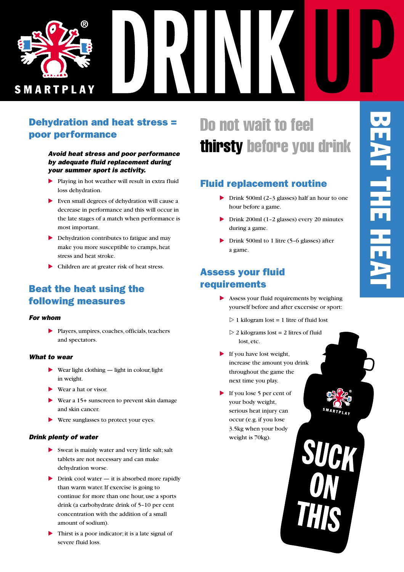

## Dehydration and heat stress = poor performance

#### *Avoid heat stress and poor performance by adequate fluid replacement during your summer sport is activity.*

- Playing in hot weather will result in extra fluid loss dehydration.
- Even small degrees of dehydration will cause a decrease in performance and this will occur in the late stages of a match when performance is most important.
- **Dehydration contributes to fatigue and may** make you more susceptible to cramps, heat stress and heat stroke.
- Children are at greater risk of heat stress.

## Beat the heat using the following measures

#### *For whom*

- Players, umpires, coaches, officials, teachers and spectators.

#### *What to wear*

- ▶ Wear light clothing light in colour, light in weight.
- Wear a hat or visor.
- ▶ Wear a 15+ sunscreen to prevent skin damage and skin cancer.
- Were sunglasses to protect your eyes.

#### *Drink plenty of water*

- Sweat is mainly water and very little salt; salt tablets are not necessary and can make dehydration worse.
- In Drink cool water it is absorbed more rapidly than warm water. If exercise is going to continue for more than one hour, use a sports drink (a carbohydrate drink of 5–10 per cent concentration with the addition of a small amount of sodium).
- Thirst is a poor indicator; it is a late signal of severe fluid loss.

# Do not wait to feel thirsty before you drink

## Fluid replacement routine

- ▶ Drink 500ml (2-3 glasses) half an hour to one hour before a game.
- Drink 200ml (1–2 glasses) every 20 minutes during a game.
- ▶ Drink 500ml to 1 litre (5-6 glasses) after a game.

#### Assess your fluid requirements

- **-** Assess your fluid requirements by weighing yourself before and after excersise or sport:
	- $\triangleright$  1 kilogram lost = 1 litre of fluid lost
	- $\triangleright$  2 kilograms lost = 2 litres of fluid lost, etc.
- If you have lost weight, increase the amount you drink throughout the game the next time you play.
- If you lose 5 per cent of your body weight, serious heat injury can occur (e.g. if you lose 3.5kg when your body weight is 70kg).